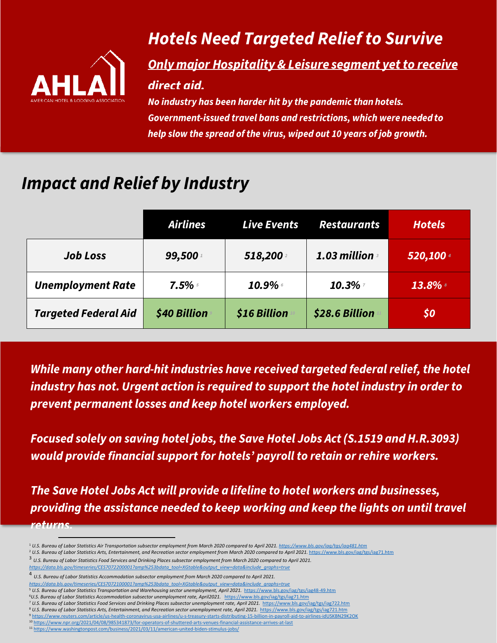

## **Hotels Need Targeted Relief to Survive**

## **Only major Hospitality & Leisure segment yet to receive** direct aid.

No industry has been harder hit by the pandemic than hotels. **Government-issued travel bans and restrictions, which were needed to** help slow the spread of the virus, wiped out 10 years of job growth.

## **Impact and Relief by Industry**

|                             | <b>Airlines</b> | <b>Live Events</b> | <b>Restaurants</b> | <b>Hotels</b> |
|-----------------------------|-----------------|--------------------|--------------------|---------------|
| <b>Job Loss</b>             | 99,500          | 518,200            | 1.03 million       | 520,100 4     |
| <b>Unemployment Rate</b>    | $7.5\%$         | $10.9\%$           | 10.3%              | 13.8%         |
| <b>Targeted Federal Aid</b> | \$40 Billion    | \$16 Billion       | \$28.6 Billion     | \$0           |

While many other hard-hit industries have received targeted federal relief, the hotel industry has not. Urgent action is required to support the hotel industry in order to prevent permanent losses and keep hotel workers employed.

Focused solely on saving hotel jobs, the Save Hotel Jobs Act (S.1519 and H.R.3093) would provide financial support for hotels' payroll to retain or rehire workers.

The Save Hotel Jobs Act will provide a lifeline to hotel workers and businesses, providing the assistance needed to keep working and keep the lights on until travel returns

<sup>1</sup> *U.S. Bureau of Labor Statistics Air Transportation subsector employment from March 2020 compared to April 2021[. https://www.bls.gov/iag/tgs/iag481.htm](https://www.bls.gov/iag/tgs/iag481.htm)*

<sup>2</sup> *U.S. Bureau of Labor Statistics Arts, Entertainment, and Recreation sector employment from March 2020 compared to April 2021.* <https://www.bls.gov/iag/tgs/iag71.htm>

<sup>&</sup>lt;sup>3</sup> U.S. Bureau of Labor Statistics Food Services and Drinking Places subsector employment from March 2020 compared to April 2021.

*[https://data.bls.gov/timeseries/CES7072200001?amp%253bdata\\_tool=XGtable&output\\_view=data&include\\_graphs=true](https://data.bls.gov/timeseries/CES7072200001?amp%253bdata_tool=XGtable&output_view=data&include_graphs=true)*

<sup>4</sup> *U.S. Bureau of Labor Statistics Accommodation subsector employment from March 2020 compared to April 2021.*

*[https://data.bls.gov/timeseries/CES7072100001?amp%253bdata\\_tool=XGtable&output\\_view=data&include\\_graphs=true](https://data.bls.gov/timeseries/CES7072100001?amp%253bdata_tool=XGtable&output_view=data&include_graphs=true)* <sup>5</sup> U.S. Bureau of Labor Statistics Transportation and Warehousing sector unemployment, April 2021. <https://www.bls.gov/iag/tgs/iag48-49.htm>

<sup>6</sup>*U.S. Bureau of Labor Statistics Accommodation subsector unemployment rate, April2021.* <https://www.bls.gov/iag/tgs/iag71.htm>

<sup>7</sup> *U.S. Bureau of Labor Statistics Food Services and Drinking Places subsector unemployment rate, April 2021.* <https://www.bls.gov/iag/tgs/iag722.htm>

<sup>8</sup> *U.S. Bureau of Labor Statistics Arts, Entertainment, and Recreation sector unemployment rate, April 2021.* <https://www.bls.gov/iag/tgs/iag721.htm>

<sup>9</sup> <https://www.reuters.com/article/us-health-coronavirus-usa-airlines/u-s-treasury-starts-distributing-15-billion-in-payroll-aid-to-airlines-idUSKBN29K2OK>

<sup>&</sup>lt;sup>0</sup> https://www.npr.org/2021/04/08/985341873/for-operators-of-shuttered-arts-venues-financial-assistance-arrives-at-last 11 <https://www.washingtonpost.com/business/2021/03/11/american-united-biden-stimulus-jobs/>